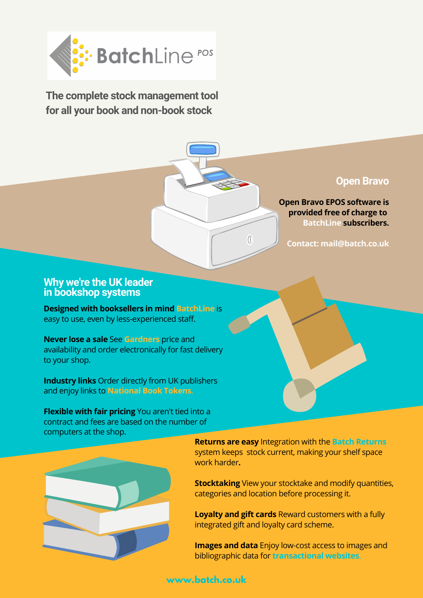

**The complete stock management tool for all your book and non-book stock**

### **Open Bravo**

**Open Bravo EPOS software is provided free of charge to BatchLine subscribers.**

**Contact: mail@batch.co.uk**

#### **Why we're the UK leader in bookshop systems**

**Designed with booksellers in mind BatchLine** is easy to use, even by less-experienced staff.

**Never lose a sale** See **Gardners** price and availability and order electronically for fast delivery to your shop.

**Industry links** Order directly from UK publishers and enjoy links to **National Book Tokens**.

**Flexible with fair pricing** You aren't tied into a contract and fees are based on the number of computers at the shop.



**Returns are easy** Integration with the **Batch Returns** system keeps stock current, making your shelf space work harder**.**

 $\sqrt{ }$ 

**Stocktaking** View your stocktake and modify quantities, categories and location before processing it.

**Loyalty and gift cards** Reward customers with a fully integrated gift and loyalty card scheme.

**Images and data** Enjoy low-cost access to images and bibliographic data for **transactional websites**.

## **www.batch.co.uk**